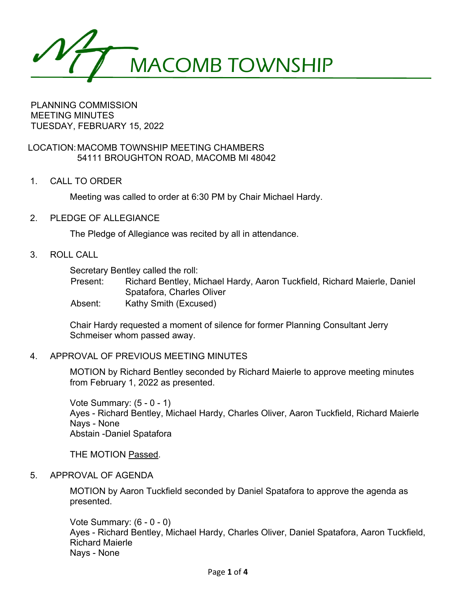MACOMB TOWNSHIP

PLANNING COMMISSION MEETING MINUTES TUESDAY, FEBRUARY 15, 2022

LOCATION:MACOMB TOWNSHIP MEETING CHAMBERS 54111 BROUGHTON ROAD, MACOMB MI 48042

1. CALL TO ORDER

Meeting was called to order at 6:30 PM by Chair Michael Hardy.

2. PLEDGE OF ALLEGIANCE

The Pledge of Allegiance was recited by all in attendance.

3. ROLL CALL

Secretary Bentley called the roll:

Present: Richard Bentley, Michael Hardy, Aaron Tuckfield, Richard Maierle, Daniel Spatafora, Charles Oliver

Absent: Kathy Smith (Excused)

Chair Hardy requested a moment of silence for former Planning Consultant Jerry Schmeiser whom passed away.

### 4. APPROVAL OF PREVIOUS MEETING MINUTES

MOTION by Richard Bentley seconded by Richard Maierle to approve meeting minutes from February 1, 2022 as presented.

Vote Summary: (5 - 0 - 1) Ayes - Richard Bentley, Michael Hardy, Charles Oliver, Aaron Tuckfield, Richard Maierle Nays - None Abstain -Daniel Spatafora

THE MOTION Passed.

### 5. APPROVAL OF AGENDA

MOTION by Aaron Tuckfield seconded by Daniel Spatafora to approve the agenda as presented.

Vote Summary: (6 - 0 - 0) Ayes - Richard Bentley, Michael Hardy, Charles Oliver, Daniel Spatafora, Aaron Tuckfield, Richard Maierle Nays - None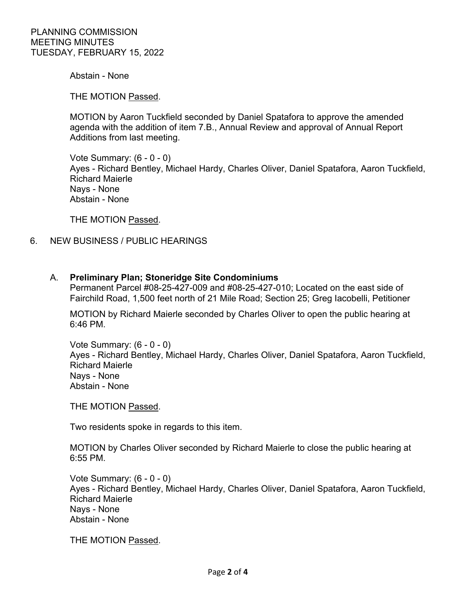Abstain - None

THE MOTION Passed.

MOTION by Aaron Tuckfield seconded by Daniel Spatafora to approve the amended agenda with the addition of item 7.B., Annual Review and approval of Annual Report Additions from last meeting.

Vote Summary: (6 - 0 - 0) Ayes - Richard Bentley, Michael Hardy, Charles Oliver, Daniel Spatafora, Aaron Tuckfield, Richard Maierle Nays - None Abstain - None

THE MOTION Passed.

6. NEW BUSINESS / PUBLIC HEARINGS

### A. **Preliminary Plan; Stoneridge Site Condominiums**

Permanent Parcel #08-25-427-009 and #08-25-427-010; Located on the east side of Fairchild Road, 1,500 feet north of 21 Mile Road; Section 25; Greg Iacobelli, Petitioner

MOTION by Richard Maierle seconded by Charles Oliver to open the public hearing at 6:46 PM.

Vote Summary: (6 - 0 - 0) Ayes - Richard Bentley, Michael Hardy, Charles Oliver, Daniel Spatafora, Aaron Tuckfield, Richard Maierle Nays - None Abstain - None

THE MOTION Passed.

Two residents spoke in regards to this item.

MOTION by Charles Oliver seconded by Richard Maierle to close the public hearing at 6:55 PM.

Vote Summary: (6 - 0 - 0) Ayes - Richard Bentley, Michael Hardy, Charles Oliver, Daniel Spatafora, Aaron Tuckfield, Richard Maierle Nays - None Abstain - None

THE MOTION Passed.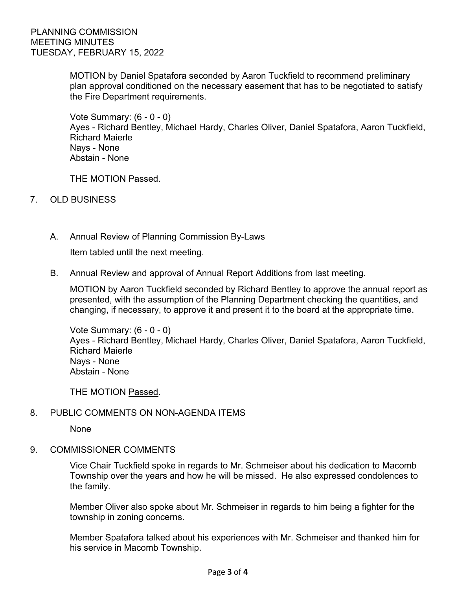MOTION by Daniel Spatafora seconded by Aaron Tuckfield to recommend preliminary plan approval conditioned on the necessary easement that has to be negotiated to satisfy the Fire Department requirements.

Vote Summary: (6 - 0 - 0) Ayes - Richard Bentley, Michael Hardy, Charles Oliver, Daniel Spatafora, Aaron Tuckfield, Richard Maierle Nays - None Abstain - None

THE MOTION Passed.

- 7. OLD BUSINESS
	- A. Annual Review of Planning Commission By-Laws

Item tabled until the next meeting.

B. Annual Review and approval of Annual Report Additions from last meeting.

MOTION by Aaron Tuckfield seconded by Richard Bentley to approve the annual report as presented, with the assumption of the Planning Department checking the quantities, and changing, if necessary, to approve it and present it to the board at the appropriate time.

Vote Summary: (6 - 0 - 0) Ayes - Richard Bentley, Michael Hardy, Charles Oliver, Daniel Spatafora, Aaron Tuckfield, Richard Maierle Nays - None Abstain - None

THE MOTION Passed.

## 8. PUBLIC COMMENTS ON NON-AGENDA ITEMS

None

9. COMMISSIONER COMMENTS

Vice Chair Tuckfield spoke in regards to Mr. Schmeiser about his dedication to Macomb Township over the years and how he will be missed. He also expressed condolences to the family.

Member Oliver also spoke about Mr. Schmeiser in regards to him being a fighter for the township in zoning concerns.

Member Spatafora talked about his experiences with Mr. Schmeiser and thanked him for his service in Macomb Township.